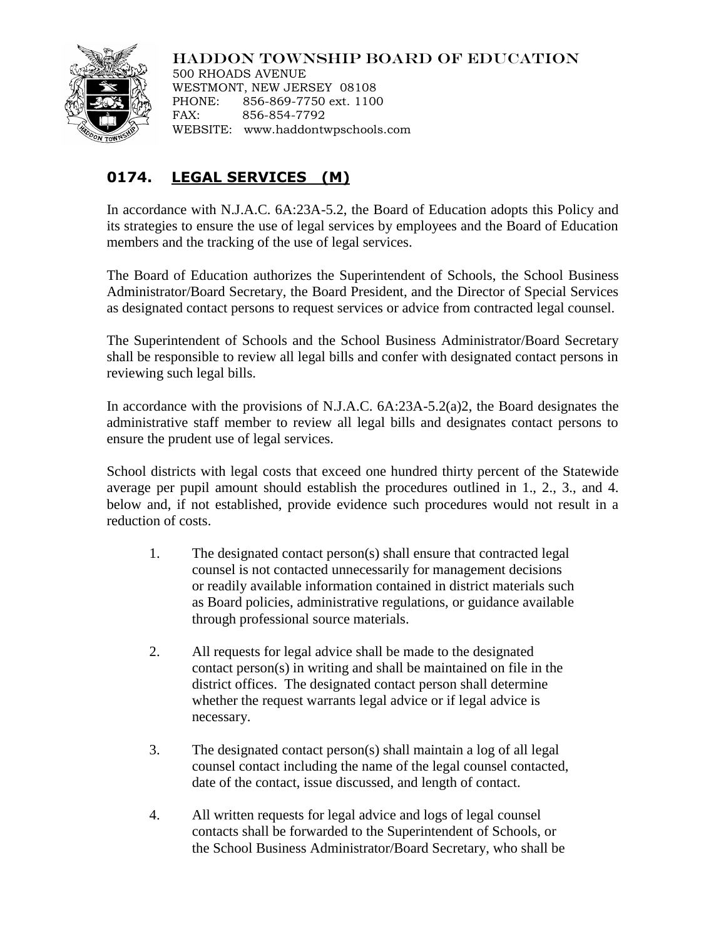## HADDON TOWNSHIP BOARD OF EDUCATION



500 RHOADS AVENUE WESTMONT, NEW JERSEY 08108 PHONE: 856-869-7750 ext. 1100 FAX: 856-854-7792 WEBSITE: www.haddontwpschools.com

## **0174. LEGAL SERVICES (M)**

In accordance with N.J.A.C. 6A:23A-5.2, the Board of Education adopts this Policy and its strategies to ensure the use of legal services by employees and the Board of Education members and the tracking of the use of legal services.

The Board of Education authorizes the Superintendent of Schools, the School Business Administrator/Board Secretary, the Board President, and the Director of Special Services as designated contact persons to request services or advice from contracted legal counsel.

The Superintendent of Schools and the School Business Administrator/Board Secretary shall be responsible to review all legal bills and confer with designated contact persons in reviewing such legal bills.

In accordance with the provisions of N.J.A.C. 6A:23A-5.2(a)2, the Board designates the administrative staff member to review all legal bills and designates contact persons to ensure the prudent use of legal services.

School districts with legal costs that exceed one hundred thirty percent of the Statewide average per pupil amount should establish the procedures outlined in 1., 2., 3., and 4. below and, if not established, provide evidence such procedures would not result in a reduction of costs.

- 1. The designated contact person(s) shall ensure that contracted legal counsel is not contacted unnecessarily for management decisions or readily available information contained in district materials such as Board policies, administrative regulations, or guidance available through professional source materials.
- 2. All requests for legal advice shall be made to the designated contact person(s) in writing and shall be maintained on file in the district offices. The designated contact person shall determine whether the request warrants legal advice or if legal advice is necessary.
- 3. The designated contact person(s) shall maintain a log of all legal counsel contact including the name of the legal counsel contacted, date of the contact, issue discussed, and length of contact.
- 4. All written requests for legal advice and logs of legal counsel contacts shall be forwarded to the Superintendent of Schools, or the School Business Administrator/Board Secretary, who shall be